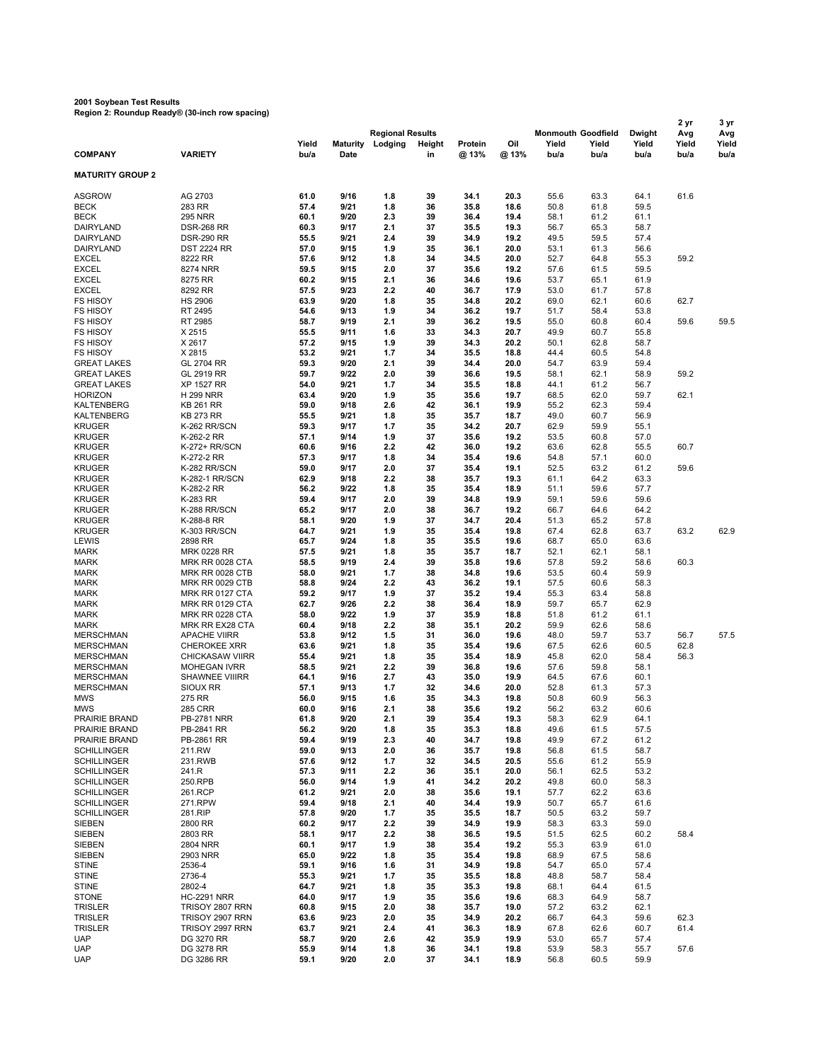## **2001 Soybean Test Results Region 2: Roundup Ready® (30-inch row spacing)**

| $1.6$ gion 2. Rodnaap Reaay $\odot$ (Jo-mon Tow Spacing)<br>2 yr |                                                  |              |                 |                                    |          |              |              |                                    |              |                 | 3 yr         |              |
|------------------------------------------------------------------|--------------------------------------------------|--------------|-----------------|------------------------------------|----------|--------------|--------------|------------------------------------|--------------|-----------------|--------------|--------------|
|                                                                  |                                                  | Yield        | <b>Maturity</b> | <b>Regional Results</b><br>Lodging | Height   | Protein      | Oil          | <b>Monmouth Goodfield</b><br>Yield | Yield        | Dwight<br>Yield | Avg<br>Yield | Avg<br>Yield |
| <b>COMPANY</b>                                                   | <b>VARIETY</b>                                   | bu/a         | Date            |                                    | in       | @ 13%        | @ 13%        | bu/a                               | bu/a         | bu/a            | bu/a         | bu/a         |
| <b>MATURITY GROUP 2</b>                                          |                                                  |              |                 |                                    |          |              |              |                                    |              |                 |              |              |
| <b>ASGROW</b>                                                    | AG 2703                                          | 61.0         | 9/16            | 1.8                                | 39       | 34.1         | 20.3         | 55.6                               | 63.3         | 64.1            | 61.6         |              |
| <b>BECK</b>                                                      | 283 RR                                           | 57.4         | 9/21            | 1.8                                | 36       | 35.8         | 18.6         | 50.8                               | 61.8         | 59.5            |              |              |
| <b>BECK</b>                                                      | <b>295 NRR</b>                                   | 60.1         | 9/20            | 2.3                                | 39       | 36.4         | 19.4         | 58.1                               | 61.2         | 61.1            |              |              |
| DAIRYLAND<br>DAIRYLAND                                           | <b>DSR-268 RR</b><br><b>DSR-290 RR</b>           | 60.3<br>55.5 | 9/17<br>9/21    | 2.1<br>2.4                         | 37<br>39 | 35.5<br>34.9 | 19.3<br>19.2 | 56.7<br>49.5                       | 65.3<br>59.5 | 58.7<br>57.4    |              |              |
| DAIRYLAND                                                        | <b>DST 2224 RR</b>                               | 57.0         | 9/15            | 1.9                                | 35       | 36.1         | 20.0         | 53.1                               | 61.3         | 56.6            |              |              |
| <b>EXCEL</b>                                                     | 8222 RR                                          | 57.6         | 9/12            | 1.8                                | 34       | 34.5         | 20.0         | 52.7                               | 64.8         | 55.3            | 59.2         |              |
| <b>EXCEL</b>                                                     | 8274 NRR                                         | 59.5         | 9/15            | 2.0                                | 37       | 35.6         | 19.2         | 57.6                               | 61.5         | 59.5            |              |              |
| <b>EXCEL</b>                                                     | 8275 RR                                          | 60.2         | 9/15            | 2.1                                | 36       | 34.6         | 19.6         | 53.7                               | 65.1         | 61.9            |              |              |
| <b>EXCEL</b><br><b>FS HISOY</b>                                  | 8292 RR<br><b>HS 2906</b>                        | 57.5<br>63.9 | 9/23<br>9/20    | 2.2<br>1.8                         | 40<br>35 | 36.7<br>34.8 | 17.9<br>20.2 | 53.0<br>69.0                       | 61.7<br>62.1 | 57.8<br>60.6    | 62.7         |              |
| <b>FS HISOY</b>                                                  | RT 2495                                          | 54.6         | 9/13            | 1.9                                | 34       | 36.2         | 19.7         | 51.7                               | 58.4         | 53.8            |              |              |
| <b>FS HISOY</b>                                                  | RT 2985                                          | 58.7         | 9/19            | 2.1                                | 39       | 36.2         | 19.5         | 55.0                               | 60.8         | 60.4            | 59.6         | 59.5         |
| <b>FS HISOY</b>                                                  | X 2515                                           | 55.5         | 9/11            | 1.6                                | 33       | 34.3         | 20.7         | 49.9                               | 60.7         | 55.8            |              |              |
| <b>FS HISOY</b>                                                  | X 2617                                           | 57.2         | 9/15            | 1.9                                | 39       | 34.3         | 20.2         | 50.1                               | 62.8         | 58.7            |              |              |
| <b>FS HISOY</b>                                                  | X 2815                                           | 53.2         | 9/21<br>9/20    | 1.7<br>2.1                         | 34<br>39 | 35.5<br>34.4 | 18.8<br>20.0 | 44.4                               | 60.5<br>63.9 | 54.8            |              |              |
| <b>GREAT LAKES</b><br><b>GREAT LAKES</b>                         | GL 2704 RR<br>GL 2919 RR                         | 59.3<br>59.7 | 9/22            | 2.0                                | 39       | 36.6         | 19.5         | 54.7<br>58.1                       | 62.1         | 59.4<br>58.9    | 59.2         |              |
| <b>GREAT LAKES</b>                                               | <b>XP 1527 RR</b>                                | 54.0         | 9/21            | 1.7                                | 34       | 35.5         | 18.8         | 44.1                               | 61.2         | 56.7            |              |              |
| <b>HORIZON</b>                                                   | <b>H 299 NRR</b>                                 | 63.4         | 9/20            | 1.9                                | 35       | 35.6         | 19.7         | 68.5                               | 62.0         | 59.7            | 62.1         |              |
| <b>KALTENBERG</b>                                                | <b>KB 261 RR</b>                                 | 59.0         | 9/18            | 2.6                                | 42       | 36.1         | 19.9         | 55.2                               | 62.3         | 59.4            |              |              |
| <b>KALTENBERG</b>                                                | <b>KB 273 RR</b>                                 | 55.5         | 9/21            | 1.8                                | 35       | 35.7         | 18.7         | 49.0                               | 60.7         | 56.9            |              |              |
| <b>KRUGER</b>                                                    | K-262 RR/SCN                                     | 59.3         | 9/17            | 1.7                                | 35       | 34.2         | 20.7         | 62.9                               | 59.9         | 55.1            |              |              |
| <b>KRUGER</b><br><b>KRUGER</b>                                   | K-262-2 RR<br>K-272+ RR/SCN                      | 57.1<br>60.6 | 9/14<br>9/16    | 1.9<br>2.2                         | 37<br>42 | 35.6<br>36.0 | 19.2<br>19.2 | 53.5<br>63.6                       | 60.8<br>62.8 | 57.0<br>55.5    | 60.7         |              |
| <b>KRUGER</b>                                                    | K-272-2 RR                                       | 57.3         | 9/17            | 1.8                                | 34       | 35.4         | 19.6         | 54.8                               | 57.1         | 60.0            |              |              |
| <b>KRUGER</b>                                                    | K-282 RR/SCN                                     | 59.0         | 9/17            | 2.0                                | 37       | 35.4         | 19.1         | 52.5                               | 63.2         | 61.2            | 59.6         |              |
| <b>KRUGER</b>                                                    | K-282-1 RR/SCN                                   | 62.9         | 9/18            | 2.2                                | 38       | 35.7         | 19.3         | 61.1                               | 64.2         | 63.3            |              |              |
| <b>KRUGER</b>                                                    | K-282-2 RR                                       | 56.2         | 9/22            | 1.8                                | 35       | 35.4         | 18.9         | 51.1                               | 59.6         | 57.7            |              |              |
| <b>KRUGER</b><br><b>KRUGER</b>                                   | K-283 RR<br>K-288 RR/SCN                         | 59.4<br>65.2 | 9/17<br>9/17    | 2.0<br>2.0                         | 39<br>38 | 34.8<br>36.7 | 19.9<br>19.2 | 59.1<br>66.7                       | 59.6<br>64.6 | 59.6<br>64.2    |              |              |
| <b>KRUGER</b>                                                    | K-288-8 RR                                       | 58.1         | 9/20            | 1.9                                | 37       | 34.7         | 20.4         | 51.3                               | 65.2         | 57.8            |              |              |
| <b>KRUGER</b>                                                    | K-303 RR/SCN                                     | 64.7         | 9/21            | 1.9                                | 35       | 35.4         | 19.8         | 67.4                               | 62.8         | 63.7            | 63.2         | 62.9         |
| LEWIS                                                            | 2898 RR                                          | 65.7         | 9/24            | 1.8                                | 35       | 35.5         | 19.6         | 68.7                               | 65.0         | 63.6            |              |              |
| <b>MARK</b>                                                      | <b>MRK 0228 RR</b>                               | 57.5         | 9/21            | 1.8                                | 35       | 35.7         | 18.7         | 52.1                               | 62.1         | 58.1            |              |              |
| <b>MARK</b>                                                      | <b>MRK RR 0028 CTA</b>                           | 58.5         | 9/19            | 2.4                                | 39       | 35.8         | 19.6         | 57.8                               | 59.2         | 58.6            | 60.3         |              |
| <b>MARK</b><br><b>MARK</b>                                       | <b>MRK RR 0028 CTB</b><br><b>MRK RR 0029 CTB</b> | 58.0<br>58.8 | 9/21<br>9/24    | 1.7<br>2.2                         | 38<br>43 | 34.8<br>36.2 | 19.6<br>19.1 | 53.5<br>57.5                       | 60.4<br>60.6 | 59.9<br>58.3    |              |              |
| <b>MARK</b>                                                      | MRK RR 0127 CTA                                  | 59.2         | 9/17            | 1.9                                | 37       | 35.2         | 19.4         | 55.3                               | 63.4         | 58.8            |              |              |
| <b>MARK</b>                                                      | MRK RR 0129 CTA                                  | 62.7         | 9/26            | 2.2                                | 38       | 36.4         | 18.9         | 59.7                               | 65.7         | 62.9            |              |              |
| <b>MARK</b>                                                      | <b>MRK RR 0228 CTA</b>                           | 58.0         | 9/22            | 1.9                                | 37       | 35.9         | 18.8         | 51.8                               | 61.2         | 61.1            |              |              |
| <b>MARK</b>                                                      | MRK RR EX28 CTA                                  | 60.4         | 9/18            | 2.2                                | 38       | 35.1         | 20.2         | 59.9                               | 62.6         | 58.6            |              |              |
| <b>MERSCHMAN</b><br><b>MERSCHMAN</b>                             | <b>APACHE VIIRR</b><br><b>CHEROKEE XRR</b>       | 53.8<br>63.6 | 9/12<br>9/21    | 1.5<br>1.8                         | 31<br>35 | 36.0<br>35.4 | 19.6<br>19.6 | 48.0<br>67.5                       | 59.7<br>62.6 | 53.7<br>60.5    | 56.7<br>62.8 | 57.5         |
| <b>MERSCHMAN</b>                                                 | <b>CHICKASAW VIIRR</b>                           | 55.4         | 9/21            | 1.8                                | 35       | 35.4         | 18.9         | 45.8                               | 62.0         | 58.4            | 56.3         |              |
| <b>MERSCHMAN</b>                                                 | <b>MOHEGAN IVRR</b>                              | 58.5         | 9/21            | 2.2                                | 39       | 36.8         | 19.6         | 57.6                               | 59.8         | 58.1            |              |              |
| <b>MERSCHMAN</b>                                                 | <b>SHAWNEE VIIIRR</b>                            | 64.1         | 9/16            | 2.7                                | 43       | 35.0         | 19.9         | 64.5                               | 67.6         | 60.1            |              |              |
| <b>MERSCHMAN</b>                                                 | SIOUX RR                                         | 57.1         | 9/13            | 1.7                                | 32       | 34.6         | 20.0         | 52.8                               | 61.3         | 57.3            |              |              |
| <b>MWS</b>                                                       | 275 RR                                           | 56.0         | 9/15            | 1.6<br>2.1                         | 35       | 34.3         | 19.8         | 50.8                               | 60.9         | 56.3            |              |              |
| <b>MWS</b><br><b>PRAIRIE BRAND</b>                               | <b>285 CRR</b><br><b>PB-2781 NRR</b>             | 60.0<br>61.8 | 9/16<br>9/20    | 2.1                                | 38<br>39 | 35.6<br>35.4 | 19.2<br>19.3 | 56.2<br>58.3                       | 63.2<br>62.9 | 60.6<br>64.1    |              |              |
| PRAIRIE BRAND                                                    | PB-2841 RR                                       | 56.2         | 9/20            | 1.8                                | 35       | 35.3         | 18.8         | 49.6                               | 61.5         | 57.5            |              |              |
| PRAIRIE BRAND                                                    | PB-2861 RR                                       | 59.4         | 9/19            | 2.3                                | 40       | 34.7         | 19.8         | 49.9                               | 67.2         | 61.2            |              |              |
| <b>SCHILLINGER</b>                                               | 211.RW                                           | 59.0         | 9/13            | 2.0                                | 36       | 35.7         | 19.8         | 56.8                               | 61.5         | 58.7            |              |              |
| <b>SCHILLINGER</b>                                               | 231.RWB                                          | 57.6         | 9/12            | 1.7                                | 32       | 34.5         | 20.5         | 55.6                               | 61.2         | 55.9            |              |              |
| <b>SCHILLINGER</b><br><b>SCHILLINGER</b>                         | 241.R<br>250.RPB                                 | 57.3<br>56.0 | 9/11<br>9/14    | 2.2<br>1.9                         | 36<br>41 | 35.1<br>34.2 | 20.0<br>20.2 | 56.1<br>49.8                       | 62.5<br>60.0 | 53.2<br>58.3    |              |              |
| <b>SCHILLINGER</b>                                               | 261.RCP                                          | 61.2         | 9/21            | 2.0                                | 38       | 35.6         | 19.1         | 57.7                               | 62.2         | 63.6            |              |              |
| <b>SCHILLINGER</b>                                               | 271.RPW                                          | 59.4         | 9/18            | 2.1                                | 40       | 34.4         | 19.9         | 50.7                               | 65.7         | 61.6            |              |              |
| <b>SCHILLINGER</b>                                               | 281.RIP                                          | 57.8         | 9/20            | 1.7                                | 35       | 35.5         | 18.7         | 50.5                               | 63.2         | 59.7            |              |              |
| <b>SIEBEN</b>                                                    | 2800 RR                                          | 60.2         | 9/17            | 2.2                                | 39       | 34.9         | 19.9         | 58.3                               | 63.3         | 59.0            |              |              |
| SIEBEN                                                           | 2803 RR                                          | 58.1         | 9/17            | 2.2                                | 38       | 36.5         | 19.5         | 51.5                               | 62.5         | 60.2            | 58.4         |              |
| <b>SIEBEN</b><br><b>SIEBEN</b>                                   | <b>2804 NRR</b><br>2903 NRR                      | 60.1<br>65.0 | 9/17<br>9/22    | 1.9<br>1.8                         | 38<br>35 | 35.4<br>35.4 | 19.2<br>19.8 | 55.3<br>68.9                       | 63.9<br>67.5 | 61.0<br>58.6    |              |              |
| <b>STINE</b>                                                     | 2536-4                                           | 59.1         | 9/16            | 1.6                                | 31       | 34.9         | 19.8         | 54.7                               | 65.0         | 57.4            |              |              |
| <b>STINE</b>                                                     | 2736-4                                           | 55.3         | 9/21            | 1.7                                | 35       | 35.5         | 18.8         | 48.8                               | 58.7         | 58.4            |              |              |
| <b>STINE</b>                                                     | 2802-4                                           | 64.7         | 9/21            | 1.8                                | 35       | 35.3         | 19.8         | 68.1                               | 64.4         | 61.5            |              |              |
| <b>STONE</b>                                                     | <b>HC-2291 NRR</b>                               | 64.0         | 9/17            | 1.9                                | 35       | 35.6         | 19.6         | 68.3                               | 64.9         | 58.7            |              |              |
| <b>TRISLER</b>                                                   | TRISOY 2807 RRN                                  | 60.8         | 9/15            | 2.0                                | 38       | 35.7         | 19.0         | 57.2                               | 63.2         | 62.1            |              |              |
| <b>TRISLER</b><br><b>TRISLER</b>                                 | TRISOY 2907 RRN<br>TRISOY 2997 RRN               | 63.6<br>63.7 | 9/23<br>9/21    | 2.0<br>2.4                         | 35<br>41 | 34.9<br>36.3 | 20.2<br>18.9 | 66.7<br>67.8                       | 64.3<br>62.6 | 59.6<br>60.7    | 62.3<br>61.4 |              |
| <b>UAP</b>                                                       | DG 3270 RR                                       | 58.7         | 9/20            | 2.6                                | 42       | 35.9         | 19.9         | 53.0                               | 65.7         | 57.4            |              |              |
| <b>UAP</b>                                                       | DG 3278 RR                                       | 55.9         | 9/14            | 1.8                                | 36       | 34.1         | 19.8         | 53.9                               | 58.3         | 55.7            | 57.6         |              |
| <b>UAP</b>                                                       | DG 3286 RR                                       | 59.1         | 9/20            | 2.0                                | 37       | 34.1         | 18.9         | 56.8                               | 60.5         | 59.9            |              |              |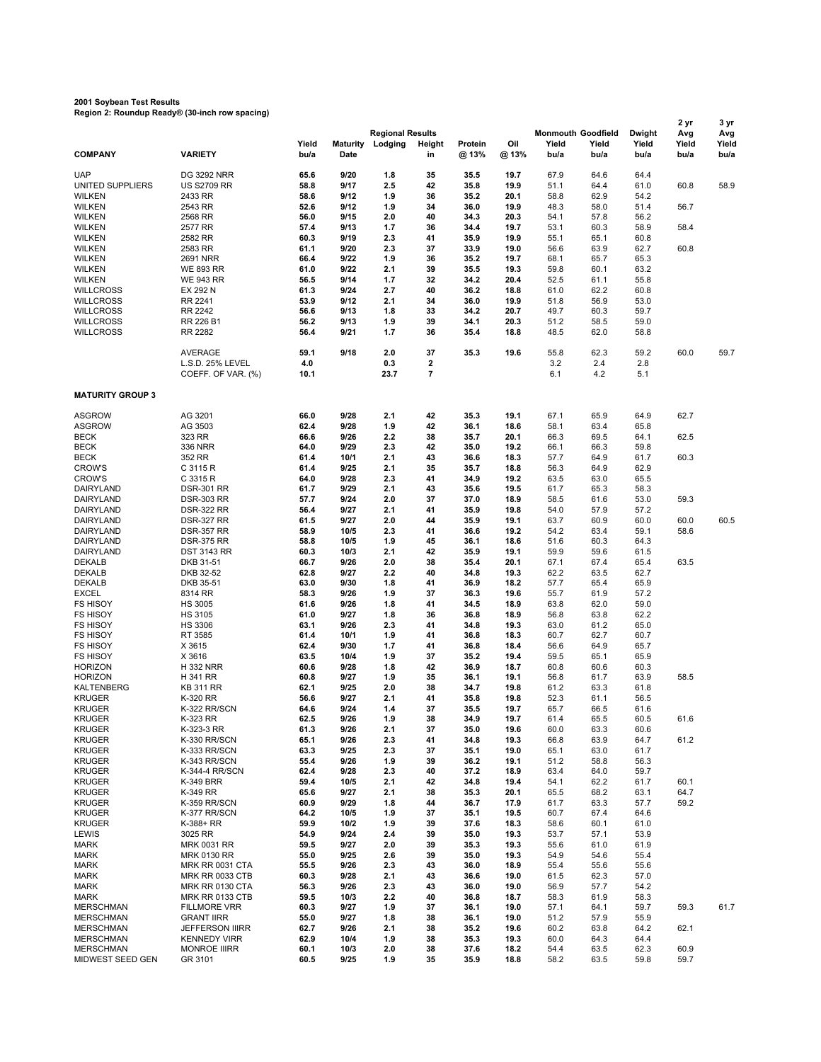## **2001 Soybean Test Results Region 2: Roundup Ready® (30-inch row spacing)**

|                                    | $\alpha$ , $\alpha$ , $\alpha$ , $\alpha$ , $\alpha$ , $\alpha$ , $\alpha$ , $\alpha$ , $\alpha$ , $\alpha$ , $\alpha$ , $\alpha$ , $\alpha$ , $\alpha$ , $\alpha$ |               |                         |                                    |                |                  |              |                                            |               |                         | 2 yr                 | 3 yr                 |
|------------------------------------|--------------------------------------------------------------------------------------------------------------------------------------------------------------------|---------------|-------------------------|------------------------------------|----------------|------------------|--------------|--------------------------------------------|---------------|-------------------------|----------------------|----------------------|
| <b>COMPANY</b>                     | <b>VARIETY</b>                                                                                                                                                     | Yield<br>bu/a | <b>Maturity</b><br>Date | <b>Regional Results</b><br>Lodging | Height<br>in   | Protein<br>@ 13% | Oil<br>@ 13% | <b>Monmouth Goodfield</b><br>Yield<br>bu/a | Yield<br>bu/a | Dwight<br>Yield<br>bu/a | Avg<br>Yield<br>bu/a | Avg<br>Yield<br>bu/a |
| <b>UAP</b>                         | <b>DG 3292 NRR</b>                                                                                                                                                 | 65.6          | 9/20                    | 1.8                                | 35             | 35.5             | 19.7         | 67.9                                       | 64.6          | 64.4                    |                      |                      |
| UNITED SUPPLIERS                   | <b>US S2709 RR</b>                                                                                                                                                 | 58.8          | 9/17                    | 2.5                                | 42             | 35.8             | 19.9         | 51.1                                       | 64.4          | 61.0                    | 60.8                 | 58.9                 |
| <b>WILKEN</b>                      | 2433 RR                                                                                                                                                            | 58.6          | 9/12                    | 1.9                                | 36             | 35.2             | 20.1         | 58.8                                       | 62.9          | 54.2                    |                      |                      |
| <b>WILKEN</b>                      | 2543 RR                                                                                                                                                            | 52.6          | 9/12                    | 1.9                                | 34             | 36.0             | 19.9         | 48.3                                       | 58.0          | 51.4                    | 56.7                 |                      |
| <b>WILKEN</b>                      | 2568 RR                                                                                                                                                            | 56.0          | 9/15                    | 2.0                                | 40             | 34.3             | 20.3         | 54.1                                       | 57.8          | 56.2                    |                      |                      |
| <b>WILKEN</b>                      | 2577 RR                                                                                                                                                            | 57.4          | 9/13                    | 1.7                                | 36             | 34.4             | 19.7         | 53.1                                       | 60.3          | 58.9                    | 58.4                 |                      |
| <b>WILKEN</b><br><b>WILKEN</b>     | 2582 RR<br>2583 RR                                                                                                                                                 | 60.3<br>61.1  | 9/19<br>9/20            | 2.3<br>2.3                         | 41<br>37       | 35.9<br>33.9     | 19.9<br>19.0 | 55.1<br>56.6                               | 65.1<br>63.9  | 60.8<br>62.7            | 60.8                 |                      |
| <b>WILKEN</b>                      | 2691 NRR                                                                                                                                                           | 66.4          | 9/22                    | 1.9                                | 36             | 35.2             | 19.7         | 68.1                                       | 65.7          | 65.3                    |                      |                      |
| <b>WILKEN</b>                      | <b>WE 893 RR</b>                                                                                                                                                   | 61.0          | 9/22                    | 2.1                                | 39             | 35.5             | 19.3         | 59.8                                       | 60.1          | 63.2                    |                      |                      |
| <b>WILKEN</b>                      | <b>WE 943 RR</b>                                                                                                                                                   | 56.5          | 9/14                    | 1.7                                | 32             | 34.2             | 20.4         | 52.5                                       | 61.1          | 55.8                    |                      |                      |
| <b>WILLCROSS</b>                   | EX 292 N                                                                                                                                                           | 61.3          | 9/24                    | 2.7                                | 40             | 36.2             | 18.8         | 61.0                                       | 62.2          | 60.8                    |                      |                      |
| <b>WILLCROSS</b>                   | RR 2241                                                                                                                                                            | 53.9          | 9/12                    | 2.1                                | 34             | 36.0             | 19.9         | 51.8                                       | 56.9          | 53.0                    |                      |                      |
| <b>WILLCROSS</b>                   | RR 2242                                                                                                                                                            | 56.6          | 9/13                    | 1.8                                | 33             | 34.2             | 20.7         | 49.7                                       | 60.3          | 59.7                    |                      |                      |
| <b>WILLCROSS</b>                   | RR 226 B1                                                                                                                                                          | 56.2          | 9/13                    | 1.9                                | 39             | 34.1             | 20.3         | 51.2                                       | 58.5          | 59.0                    |                      |                      |
| <b>WILLCROSS</b>                   | <b>RR 2282</b>                                                                                                                                                     | 56.4          | 9/21                    | 1.7                                | 36             | 35.4             | 18.8         | 48.5                                       | 62.0          | 58.8                    |                      |                      |
|                                    | <b>AVERAGE</b>                                                                                                                                                     | 59.1          | 9/18                    | 2.0                                | 37             | 35.3             | 19.6         | 55.8                                       | 62.3          | 59.2                    | 60.0                 | 59.7                 |
|                                    | L.S.D. 25% LEVEL                                                                                                                                                   | 4.0           |                         | 0.3                                | 2              |                  |              | 3.2                                        | 2.4           | 2.8                     |                      |                      |
|                                    | COEFF. OF VAR. (%)                                                                                                                                                 | 10.1          |                         | 23.7                               | $\overline{7}$ |                  |              | 6.1                                        | 4.2           | 5.1                     |                      |                      |
| <b>MATURITY GROUP 3</b>            |                                                                                                                                                                    |               |                         |                                    |                |                  |              |                                            |               |                         |                      |                      |
|                                    |                                                                                                                                                                    |               |                         |                                    |                |                  |              |                                            |               |                         |                      |                      |
| <b>ASGROW</b>                      | AG 3201                                                                                                                                                            | 66.0          | 9/28                    | 2.1                                | 42             | 35.3             | 19.1         | 67.1                                       | 65.9          | 64.9                    | 62.7                 |                      |
| <b>ASGROW</b>                      | AG 3503                                                                                                                                                            | 62.4          | 9/28                    | 1.9                                | 42             | 36.1             | 18.6         | 58.1                                       | 63.4          | 65.8                    |                      |                      |
| <b>BECK</b><br><b>BECK</b>         | 323 RR<br>336 NRR                                                                                                                                                  | 66.6<br>64.0  | 9/26<br>9/29            | 2.2<br>2.3                         | 38<br>42       | 35.7<br>35.0     | 20.1<br>19.2 | 66.3<br>66.1                               | 69.5<br>66.3  | 64.1<br>59.8            | 62.5                 |                      |
| <b>BECK</b>                        | 352 RR                                                                                                                                                             | 61.4          | 10/1                    | 2.1                                | 43             | 36.6             | 18.3         | 57.7                                       | 64.9          | 61.7                    | 60.3                 |                      |
| <b>CROW'S</b>                      | C 3115 R                                                                                                                                                           | 61.4          | 9/25                    | 2.1                                | 35             | 35.7             | 18.8         | 56.3                                       | 64.9          | 62.9                    |                      |                      |
| <b>CROW'S</b>                      | C 3315 R                                                                                                                                                           | 64.0          | 9/28                    | 2.3                                | 41             | 34.9             | 19.2         | 63.5                                       | 63.0          | 65.5                    |                      |                      |
| DAIRYLAND                          | <b>DSR-301 RR</b>                                                                                                                                                  | 61.7          | 9/29                    | 2.1                                | 43             | 35.6             | 19.5         | 61.7                                       | 65.3          | 58.3                    |                      |                      |
| DAIRYLAND                          | <b>DSR-303 RR</b>                                                                                                                                                  | 57.7          | 9/24                    | 2.0                                | 37             | 37.0             | 18.9         | 58.5                                       | 61.6          | 53.0                    | 59.3                 |                      |
| DAIRYLAND                          | <b>DSR-322 RR</b>                                                                                                                                                  | 56.4          | 9/27                    | 2.1                                | 41             | 35.9             | 19.8         | 54.0                                       | 57.9          | 57.2                    |                      |                      |
| DAIRYLAND                          | <b>DSR-327 RR</b>                                                                                                                                                  | 61.5          | 9/27                    | 2.0                                | 44             | 35.9             | 19.1         | 63.7                                       | 60.9          | 60.0                    | 60.0                 | 60.5                 |
| DAIRYLAND                          | <b>DSR-357 RR</b>                                                                                                                                                  | 58.9          | 10/5                    | 2.3                                | 41             | 36.6             | 19.2         | 54.2                                       | 63.4          | 59.1                    | 58.6                 |                      |
| DAIRYLAND<br>DAIRYLAND             | <b>DSR-375 RR</b><br><b>DST 3143 RR</b>                                                                                                                            | 58.8<br>60.3  | 10/5<br>10/3            | 1.9<br>2.1                         | 45<br>42       | 36.1<br>35.9     | 18.6<br>19.1 | 51.6<br>59.9                               | 60.3<br>59.6  | 64.3<br>61.5            |                      |                      |
| <b>DEKALB</b>                      | DKB 31-51                                                                                                                                                          | 66.7          | 9/26                    | 2.0                                | 38             | 35.4             | 20.1         | 67.1                                       | 67.4          | 65.4                    | 63.5                 |                      |
| <b>DEKALB</b>                      | DKB 32-52                                                                                                                                                          | 62.8          | 9/27                    | 2.2                                | 40             | 34.8             | 19.3         | 62.2                                       | 63.5          | 62.7                    |                      |                      |
| <b>DEKALB</b>                      | DKB 35-51                                                                                                                                                          | 63.0          | 9/30                    | 1.8                                | 41             | 36.9             | 18.2         | 57.7                                       | 65.4          | 65.9                    |                      |                      |
| <b>EXCEL</b>                       | 8314 RR                                                                                                                                                            | 58.3          | 9/26                    | 1.9                                | 37             | 36.3             | 19.6         | 55.7                                       | 61.9          | 57.2                    |                      |                      |
| <b>FS HISOY</b>                    | <b>HS 3005</b>                                                                                                                                                     | 61.6          | 9/26                    | 1.8                                | 41             | 34.5             | 18.9         | 63.8                                       | 62.0          | 59.0                    |                      |                      |
| <b>FS HISOY</b>                    | <b>HS 3105</b>                                                                                                                                                     | 61.0          | 9/27                    | 1.8                                | 36             | 36.8             | 18.9         | 56.8                                       | 63.8          | 62.2                    |                      |                      |
| <b>FS HISOY</b>                    | <b>HS 3306</b>                                                                                                                                                     | 63.1          | 9/26                    | 2.3                                | 41             | 34.8             | 19.3         | 63.0                                       | 61.2          | 65.0                    |                      |                      |
| <b>FS HISOY</b>                    | RT 3585                                                                                                                                                            | 61.4          | 10/1                    | 1.9                                | 41             | 36.8             | 18.3         | 60.7                                       | 62.7          | 60.7                    |                      |                      |
| <b>FS HISOY</b><br><b>FS HISOY</b> | X 3615<br>X 3616                                                                                                                                                   | 62.4<br>63.5  | 9/30<br>10/4            | 1.7<br>1.9                         | 41<br>37       | 36.8<br>35.2     | 18.4<br>19.4 | 56.6<br>59.5                               | 64.9<br>65.1  | 65.7<br>65.9            |                      |                      |
| <b>HORIZON</b>                     | <b>H332 NRR</b>                                                                                                                                                    | 60.6          | 9/28                    | 1.8                                | 42             | 36.9             | 18.7         | 60.8                                       | 60.6          | 60.3                    |                      |                      |
| <b>HORIZON</b>                     | H 341 RR                                                                                                                                                           | 60.8          | 9/27                    | 1.9                                | 35             | 36.1             | 19.1         | 56.8                                       | 61.7          | 63.9                    | 58.5                 |                      |
| <b>KALTENBERG</b>                  | <b>KB 311 RR</b>                                                                                                                                                   | 62.1          | 9/25                    | 2.0                                | 38             | 34.7             | 19.8         | 61.2                                       | 63.3          | 61.8                    |                      |                      |
| <b>KRUGER</b>                      | K-320 RR                                                                                                                                                           | 56.6          | 9/27                    | 2.1                                | 41             | 35.8             | 19.8         | 52.3                                       | 61.1          | 56.5                    |                      |                      |
| <b>KRUGER</b>                      | K-322 RR/SCN                                                                                                                                                       | 64.6          | 9/24                    | 1.4                                | 37             | 35.5             | 19.7         | 65.7                                       | 66.5          | 61.6                    |                      |                      |
| <b>KRUGER</b>                      | K-323 RR                                                                                                                                                           | 62.5          | 9/26                    | 1.9                                | 38             | 34.9             | 19.7         | 61.4                                       | 65.5          | 60.5                    | 61.6                 |                      |
| <b>KRUGER</b>                      | K-323-3 RR                                                                                                                                                         | 61.3          | 9/26                    | 2.1                                | 37             | 35.0             | 19.6         | 60.0                                       | 63.3          | 60.6                    |                      |                      |
| <b>KRUGER</b>                      | K-330 RR/SCN                                                                                                                                                       | 65.1          | 9/26                    | 2.3                                | 41             | 34.8             | 19.3         | 66.8                                       | 63.9          | 64.7                    | 61.2                 |                      |
| <b>KRUGER</b><br><b>KRUGER</b>     | K-333 RR/SCN<br>K-343 RR/SCN                                                                                                                                       | 63.3<br>55.4  | 9/25<br>9/26            | 2.3<br>1.9                         | 37<br>39       | 35.1<br>36.2     | 19.0<br>19.1 | 65.1<br>51.2                               | 63.0<br>58.8  | 61.7<br>56.3            |                      |                      |
| <b>KRUGER</b>                      | K-344-4 RR/SCN                                                                                                                                                     | 62.4          | 9/28                    | 2.3                                | 40             | 37.2             | 18.9         | 63.4                                       | 64.0          | 59.7                    |                      |                      |
| <b>KRUGER</b>                      | <b>K-349 BRR</b>                                                                                                                                                   | 59.4          | 10/5                    | 2.1                                | 42             | 34.8             | 19.4         | 54.1                                       | 62.2          | 61.7                    | 60.1                 |                      |
| <b>KRUGER</b>                      | K-349 RR                                                                                                                                                           | 65.6          | 9/27                    | 2.1                                | 38             | 35.3             | 20.1         | 65.5                                       | 68.2          | 63.1                    | 64.7                 |                      |
| <b>KRUGER</b>                      | K-359 RR/SCN                                                                                                                                                       | 60.9          | 9/29                    | 1.8                                | 44             | 36.7             | 17.9         | 61.7                                       | 63.3          | 57.7                    | 59.2                 |                      |
| <b>KRUGER</b>                      | K-377 RR/SCN                                                                                                                                                       | 64.2          | 10/5                    | 1.9                                | 37             | 35.1             | 19.5         | 60.7                                       | 67.4          | 64.6                    |                      |                      |
| <b>KRUGER</b>                      | K-388+ RR                                                                                                                                                          | 59.9          | 10/2                    | 1.9                                | 39             | 37.6             | 18.3         | 58.6                                       | 60.1          | 61.0                    |                      |                      |
| <b>LEWIS</b>                       | 3025 RR                                                                                                                                                            | 54.9          | 9/24                    | 2.4                                | 39             | 35.0             | 19.3         | 53.7                                       | 57.1          | 53.9                    |                      |                      |
| <b>MARK</b>                        | <b>MRK 0031 RR</b>                                                                                                                                                 | 59.5          | 9/27                    | 2.0                                | 39             | 35.3             | 19.3         | 55.6                                       | 61.0          | 61.9                    |                      |                      |
| <b>MARK</b><br>MARK                | <b>MRK 0130 RR</b><br>MRK RR 0031 CTA                                                                                                                              | 55.0<br>55.5  | 9/25<br>9/26            | 2.6<br>2.3                         | 39<br>43       | 35.0<br>36.0     | 19.3<br>18.9 | 54.9<br>55.4                               | 54.6<br>55.6  | 55.4<br>55.6            |                      |                      |
| <b>MARK</b>                        | MRK RR 0033 CTB                                                                                                                                                    | 60.3          | 9/28                    | 2.1                                | 43             | 36.6             | 19.0         | 61.5                                       | 62.3          | 57.0                    |                      |                      |
| <b>MARK</b>                        | MRK RR 0130 CTA                                                                                                                                                    | 56.3          | 9/26                    | 2.3                                | 43             | 36.0             | 19.0         | 56.9                                       | 57.7          | 54.2                    |                      |                      |
| <b>MARK</b>                        | MRK RR 0133 CTB                                                                                                                                                    | 59.5          | 10/3                    | 2.2                                | 40             | 36.8             | 18.7         | 58.3                                       | 61.9          | 58.3                    |                      |                      |
| <b>MERSCHMAN</b>                   | <b>FILLMORE VRR</b>                                                                                                                                                | 60.3          | 9/27                    | 1.9                                | 37             | 36.1             | 19.0         | 57.1                                       | 64.1          | 59.7                    | 59.3                 | 61.7                 |
| <b>MERSCHMAN</b>                   | <b>GRANT IIRR</b>                                                                                                                                                  | 55.0          | 9/27                    | 1.8                                | 38             | 36.1             | 19.0         | 51.2                                       | 57.9          | 55.9                    |                      |                      |
| <b>MERSCHMAN</b>                   | <b>JEFFERSON IIIRR</b>                                                                                                                                             | 62.7          | 9/26                    | 2.1                                | 38             | 35.2             | 19.6         | 60.2                                       | 63.8          | 64.2                    | 62.1                 |                      |
| <b>MERSCHMAN</b>                   | <b>KENNEDY VIRR</b>                                                                                                                                                | 62.9          | 10/4                    | 1.9                                | 38             | 35.3             | 19.3         | 60.0                                       | 64.3          | 64.4                    |                      |                      |
| <b>MERSCHMAN</b>                   | <b>MONROE IIIRR</b>                                                                                                                                                | 60.1          | 10/3                    | 2.0                                | 38             | 37.6             | 18.2         | 54.4                                       | 63.5          | 62.3                    | 60.9                 |                      |
| MIDWEST SEED GEN                   | GR 3101                                                                                                                                                            | 60.5          | 9/25                    | 1.9                                | 35             | 35.9             | 18.8         | 58.2                                       | 63.5          | 59.8                    | 59.7                 |                      |